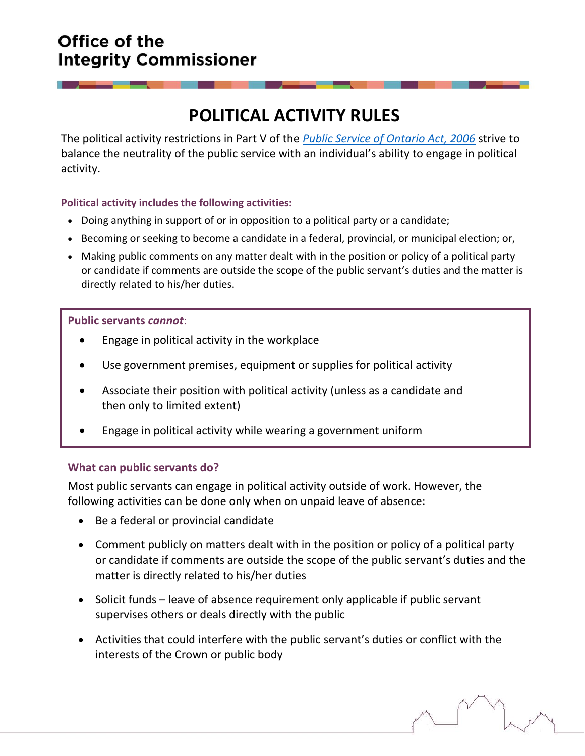## Office of the **Integrity Commissioner**

# **POLITICAL ACTIVITY RULES**

The political activity restrictions in Part V of the *[Public Service of Ontario Act, 2006](https://www.ontario.ca/laws/statute/06p35#BK93)* strive to balance the neutrality of the public service with an individual's ability to engage in political activity.

#### **Political activity includes the following activities:**

- Doing anything in support of or in opposition to a political party or a candidate;
- Becoming or seeking to become a candidate in a federal, provincial, or municipal election; or,
- Making public comments on any matter dealt with in the position or policy of a political party or candidate if comments are outside the scope of the public servant's duties and the matter is directly related to his/her duties.

#### **Public servants** *cannot*:

- Engage in political activity in the workplace
- Use government premises, equipment or supplies for political activity
- Associate their position with political activity (unless as a candidate and then only to limited extent)
- Engage in political activity while wearing a government uniform

#### **What can public servants do?**

Most public servants can engage in political activity outside of work. However, the following activities can be done only when on unpaid leave of absence:

- Be a federal or provincial candidate
- Comment publicly on matters dealt with in the position or policy of a political party or candidate if comments are outside the scope of the public servant's duties and the matter is directly related to his/her duties
- Solicit funds leave of absence requirement only applicable if public servant supervises others or deals directly with the public
- Activities that could interfere with the public servant's duties or conflict with the interests of the Crown or public body